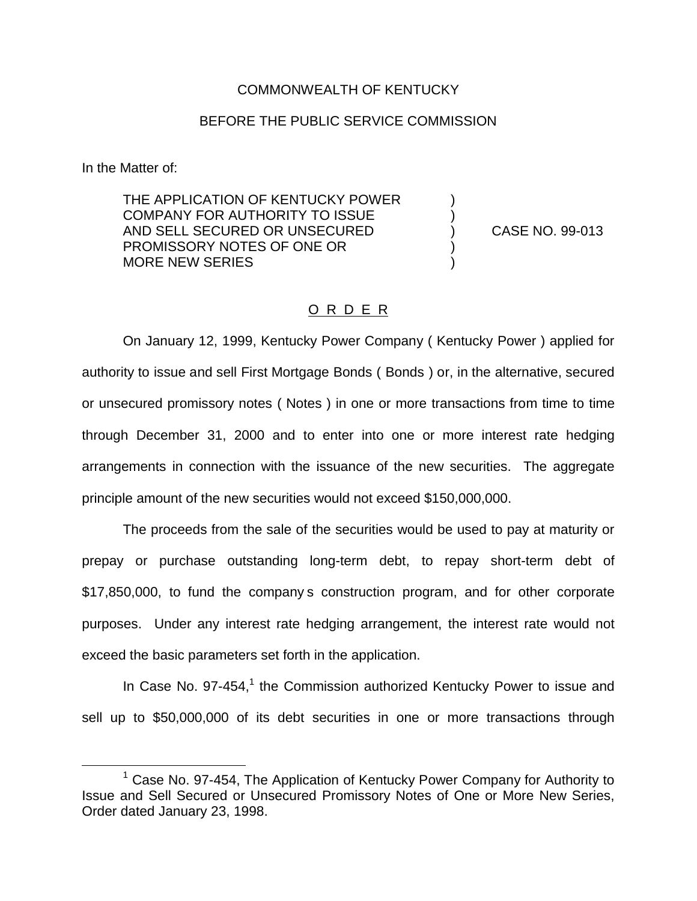## COMMONWEALTH OF KENTUCKY

## BEFORE THE PUBLIC SERVICE COMMISSION

In the Matter of:

THE APPLICATION OF KENTUCKY POWER COMPANY FOR AUTHORITY TO ISSUE ) AND SELL SECURED OR UNSECURED (2008) CASE NO. 99-013 PROMISSORY NOTES OF ONE OR ) MORE NEW SERIES

## O R D E R

On January 12, 1999, Kentucky Power Company ( Kentucky Power ) applied for authority to issue and sell First Mortgage Bonds ( Bonds ) or, in the alternative, secured or unsecured promissory notes ( Notes ) in one or more transactions from time to time through December 31, 2000 and to enter into one or more interest rate hedging arrangements in connection with the issuance of the new securities. The aggregate principle amount of the new securities would not exceed \$150,000,000.

The proceeds from the sale of the securities would be used to pay at maturity or prepay or purchase outstanding long-term debt, to repay short-term debt of \$17,850,000, to fund the company s construction program, and for other corporate purposes. Under any interest rate hedging arrangement, the interest rate would not exceed the basic parameters set forth in the application.

In Case No. 97-454, $1$  the Commission authorized Kentucky Power to issue and sell up to \$50,000,000 of its debt securities in one or more transactions through

<sup>&</sup>lt;sup>1</sup> Case No. 97-454, The Application of Kentucky Power Company for Authority to Issue and Sell Secured or Unsecured Promissory Notes of One or More New Series, Order dated January 23, 1998.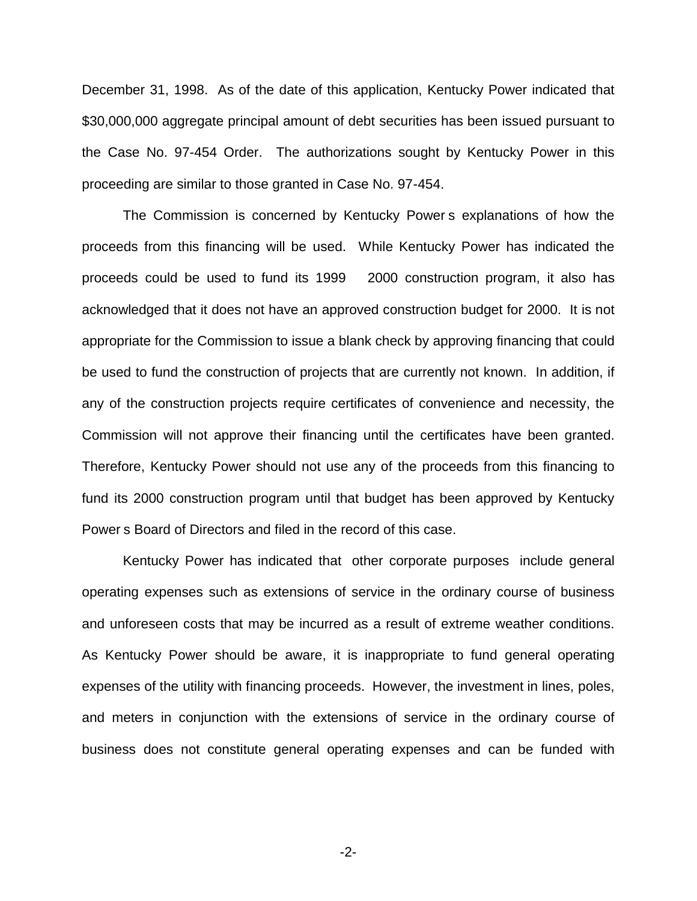December 31, 1998. As of the date of this application, Kentucky Power indicated that \$30,000,000 aggregate principal amount of debt securities has been issued pursuant to the Case No. 97-454 Order. The authorizations sought by Kentucky Power in this proceeding are similar to those granted in Case No. 97-454.

The Commission is concerned by Kentucky Power s explanations of how the proceeds from this financing will be used. While Kentucky Power has indicated the proceeds could be used to fund its 1999 2000 construction program, it also has acknowledged that it does not have an approved construction budget for 2000. It is not appropriate for the Commission to issue a blank check by approving financing that could be used to fund the construction of projects that are currently not known. In addition, if any of the construction projects require certificates of convenience and necessity, the Commission will not approve their financing until the certificates have been granted. Therefore, Kentucky Power should not use any of the proceeds from this financing to fund its 2000 construction program until that budget has been approved by Kentucky Power s Board of Directors and filed in the record of this case.

Kentucky Power has indicated that other corporate purposes include general operating expenses such as extensions of service in the ordinary course of business and unforeseen costs that may be incurred as a result of extreme weather conditions. As Kentucky Power should be aware, it is inappropriate to fund general operating expenses of the utility with financing proceeds. However, the investment in lines, poles, and meters in conjunction with the extensions of service in the ordinary course of business does not constitute general operating expenses and can be funded with

-2-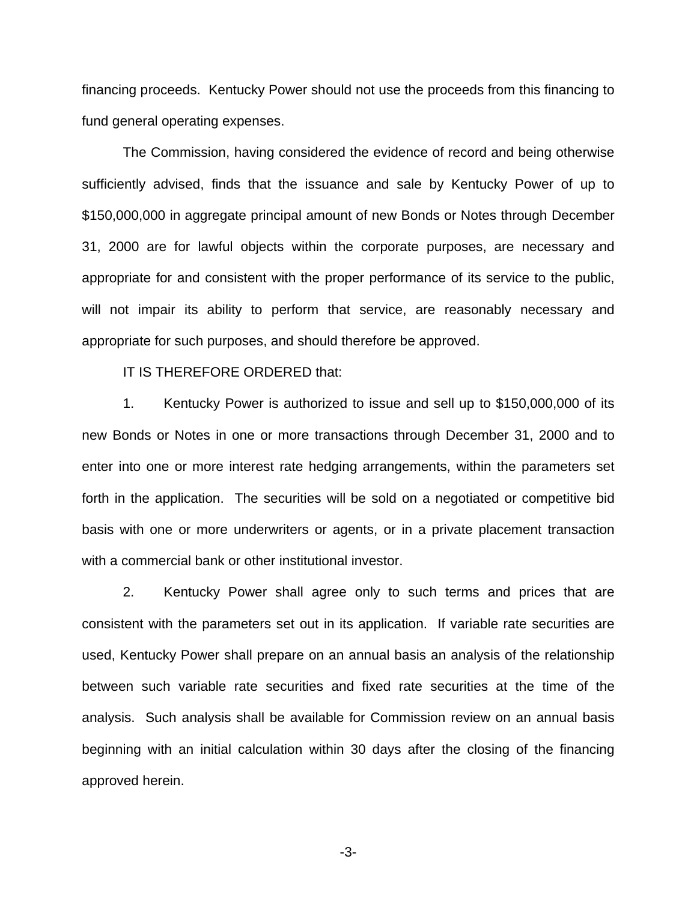financing proceeds. Kentucky Power should not use the proceeds from this financing to fund general operating expenses.

The Commission, having considered the evidence of record and being otherwise sufficiently advised, finds that the issuance and sale by Kentucky Power of up to \$150,000,000 in aggregate principal amount of new Bonds or Notes through December 31, 2000 are for lawful objects within the corporate purposes, are necessary and appropriate for and consistent with the proper performance of its service to the public, will not impair its ability to perform that service, are reasonably necessary and appropriate for such purposes, and should therefore be approved.

IT IS THEREFORE ORDERED that:

1. Kentucky Power is authorized to issue and sell up to \$150,000,000 of its new Bonds or Notes in one or more transactions through December 31, 2000 and to enter into one or more interest rate hedging arrangements, within the parameters set forth in the application. The securities will be sold on a negotiated or competitive bid basis with one or more underwriters or agents, or in a private placement transaction with a commercial bank or other institutional investor.

2. Kentucky Power shall agree only to such terms and prices that are consistent with the parameters set out in its application. If variable rate securities are used, Kentucky Power shall prepare on an annual basis an analysis of the relationship between such variable rate securities and fixed rate securities at the time of the analysis. Such analysis shall be available for Commission review on an annual basis beginning with an initial calculation within 30 days after the closing of the financing approved herein.

-3-